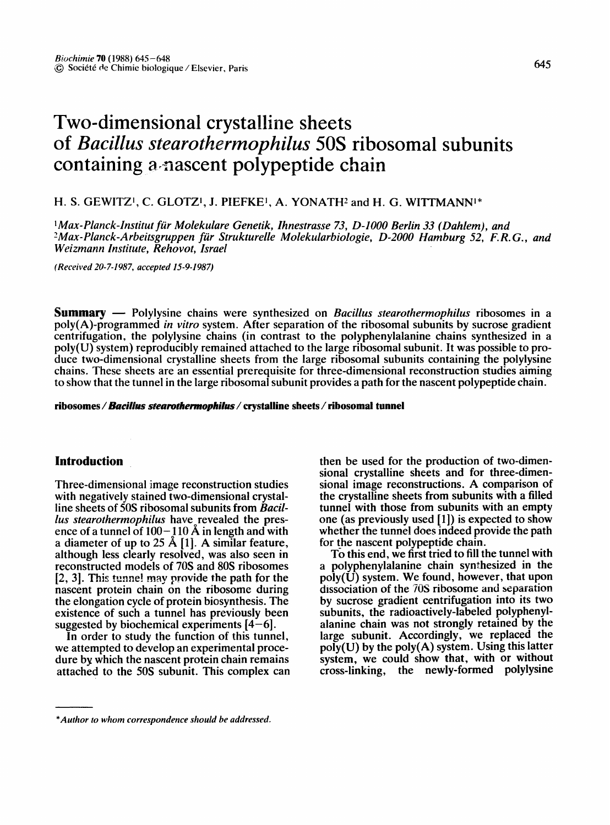# **Two-dimensional crystalline sheets of** *Bacillus stearothermophilus* **50S ribosomal subunits containing a,nascent polypeptide chain**

## H. S. GEWITZ<sup>1</sup>, C. GLOTZ<sup>1</sup>, J. PIEFKE<sup>1</sup>, A. YONATH<sup>2</sup> and H. G. WITTMANN<sup>1\*</sup>

<sup>1</sup> Max-Planck-Institut für Molekulare Genetik, Ihnestrasse 73, D-1000 Berlin 33 (Dahlem), and <sup>2</sup>Max-Planck-Arbeitsgruppen für Strukturelle Molekularbiologie, D-2000 Hamburg 52, F.R.G., and *Weizmann Institute, Rehovot, Israel* 

*(Received 20-7-1987, accepted 15-9-1987)* 

**Summary** m Polylysine chains were synthesized on *Bacillus stearothermophilus* ribosomes in a poly(A)-programmed *in vitro* system. After separation of the ribosomal subunits by sucrose gradient centrifugation, the polylysine chains (in contrast to the polyphenylalanine chains synthesized in a poly(U) system) reproducibly remained attached to the large ribosomal subunit. It was possible to produce two-dimensional crystalline sheets from the large ribosomal subunits containing the polylysine chains. These sheets are an essential prerequisite for three-dimensional reconstruction studies aiming to show that the tunnel in the large ribosomal subunit provides a path for the nascent polypeptide chain.

**ribosomes /** *Bacillus stearothermophilus /* **crystalline sheets / ribosomal tunnel** 

## **Introduction**

Three-dimensional image reconstruction studies with negatively stained two-dimensional crystalline sheets of 50S ribosomal subunits from *Bacillus stearothermophilus* have revealed the presence of a tunnel of  $100-110$  Å in length and with a diameter of up to 25 Å [1]. A similar feature, although less clearly resolved, was also seen in reconstructed models of 70S and 80S ribosomes [2, 3]. This tunnel may provide the path for the nascent protein chain on the ribosome during the elongation cycle of protein biosynthesis. The existence of such a tunnel has previously been suggested by biochemical experiments  $[4-6]$ .

In order to study the function of this tunnel, we attempted to develop an experimental procedure by which the nascent protein chain remains attached to the 50S subunit. This complex can then be used for the production of two-dimensional crystalline sheets and for three-dimensional image reconstructions. A comparison of the crystalline sheets from subunits with a filled tunnel with those from subunits with an empty one (as previously used [1]) is expected to show whether the tunnel does indeed provide the path for the nascent polypeptide chain.

To this end, we first tried to fill the tunnel with a polyphenylalanine chain synthesized in the  $poly(\hat{U})$  system. We found, however, that upon dissociation of the 70S ribosome and separation by sucrose gradient centrifugation into its two subunits, the radioactively-labeled polyphenylalanine chain was not strongly retained by the large subunit. Accordingly, we replaced the  $\text{poly}(U)$  by the  $\text{poly}(A)$  system. Using this latter system, we could show that, with or without cross-linking, the newly-formed polylysine

*<sup>\*</sup>Author to whom correspondence should be addressed.*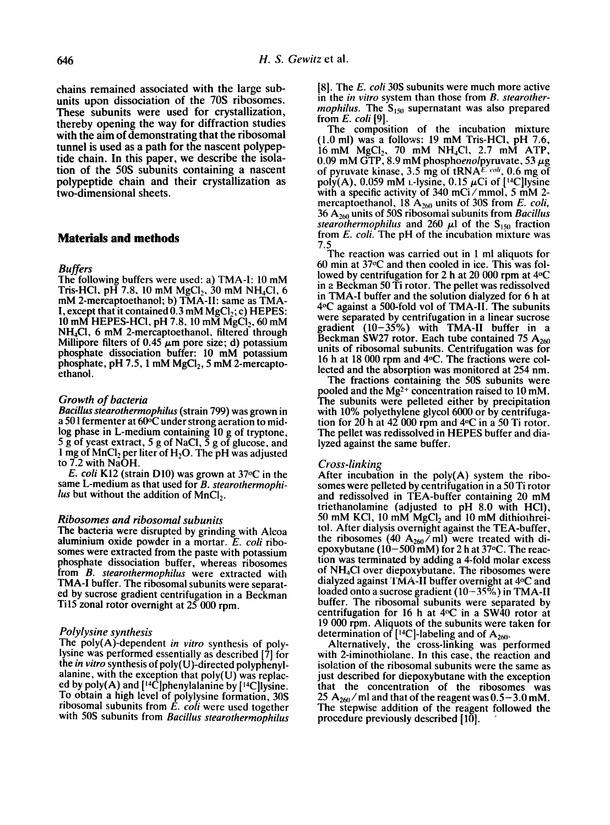chains remained associated with the large subunits upon dissociation of the 70S ribosomes. These subunits were used for crystallization, thereby opening the way for diffraction studies with the aim of demonstrating that the ribosomal tunnel is used as a path for the nascent polypeptide chain. In this paper, we describe the isolation of the 50S subunits containing a nascent polypeptide chain and their crystallization as two-dimensional sheets.

## **Materials and methods**

#### *Buffers*

The following buffers were used: a) TMA-I: 10 mM Tris-HCl, pH 7.8, 10 mM  $MgCl_2$ , 30 mM NH<sub>4</sub>Cl, 6 mM 2-mercaptoethanol; b) TMA-II: same as TMA-I, except that it contained  $0.3$  mM MgCl<sub>2</sub>; c) HEPES: 10 mM HEPES-HCI, pH 7.8, 10 mM  $MgC1$ <sub>2</sub>, 60 mM NH4CI, 6 mM 2-mercaptoethanol, filtered through Millipore filters of  $0.45 \mu m$  pore size; d) potassium phosphate dissociation buffer: 10 mM potassium phosphate, pH 7.5, 1 mM  $MgCl<sub>2</sub>$ , 5 mM 2-mercaptoethanol.

#### *Growth of bacteria*

*BaciUus stearothermophilus* (strain 799) was grown in a 501 fermenter at 60°C under strong aeration to midlog phase in L-medium containing 10 g of tryptone, 5 g of yeast extract, 5 g of NaCl,  $\overline{5}$  g of glucose, and 1 mg of  $MnCl<sub>2</sub>$  per liter of  $H<sub>2</sub>O$ . The pH was adjusted to 7.2 with NaOH.

*E. coli* K12 (strain D10) was grown at 37oC in the same L-medium as that used for *B. stearothermophilus* but without the addition of MnCl<sub>2</sub>.

#### *Ribosomes and ribosomal subunits*

The bacteria were disrupted by grinding with Alcoa aluminium oxide powder in a mortar. *E. coli* ribosomes were extracted from the paste with potassium phosphate dissociation buffer, whereas ribosomes from *B. stearothermophilus* were extracted with TMA-I buffer. The ribosomal subunits were separated by sucrose gradient centrifugation in a Beckman Til5 zonal rotor overnight at 25 000 rpm.

#### *Polylysine synthesis*

The poly(A)-dependent *in vitro* synthesis of polylysine was performed essentially as described [7] for the *in vitro* synthesis of poly(U)-directed polyphenylalanine, with the exception that poly(U) was replaced by poly(A) and  $[14C]$ phenylalanine by  $[14C]$ lysine. To obtain a high level of polylysine formation, 30S ribosomal subunits from *E. coli* were used together with 50S subunits from *Bacillus stearothermophilus* 

[8]. The *E. coli* 30S subunits were much more active in the *in vitro* system than those from *B. stearothermophilus.* The  $S<sub>150</sub>$  supernatant was also prepared from *E. coli* [91.

The composition of the incubation mixture (l.0 ml) was a follows: 19 mM Tris-HCl, pH 7.6, 16 mM  $MgCl_2$ , 70 mM  $NH<sub>4</sub>Cl$ , 2.7 mM ATP, 0.09 mM GTP, 8.9 mM phospho*enol* pyruvate, 53 μg of pyruvate kinase, 3.5 mg of tRNA $E$ <sup>- coli</sup>, 0.6 mg of poly(A), 0.059 mM *L*-lysine, 0.15  $\mu$ Ci of [<sup>14</sup>C]lysine with a specific activity of 340 mCi/mmol, 5 mM 2mercaptoethanol, 18 A<sub>260</sub> units of 30S from *E. coli*, 36 A:60 units of 50S ribosomal subunits from *Bacillus stearothermophilus* and 260  $\mu$ l of the S<sub>150</sub> fraction from *E. coli.* The pH of the incubation mixture was 7.5

The reaction was carried out in 1 ml aliquots for 60 min at 37°C and then cooled in ice. This was followed by centrifugation for 2 h at 20 000 rpm at 4°C in a Beckman 50 Ti rotor. The pellet was redissolved in TMA-I buffer and the solution dialyzed for 6 h at 4°C against a 500-fold vol of TMA-II. The subunits were separated by centrifugation in a linear sucrose gradient  $(10-35\%)$  with TMA-II buffer in a Beckman SW27 rotor. Each tube contained 75  $A_{260}$ units of ribosomal subunits. Centrifugation was for 16 h at 18 000 rpm and 4°C. The fractions were collected and the absorption was monitored at 254 nm.

The fractions containing the 50S subunits were pooled and the  $Mg^{2+}$  concentration raised to 10 mM. The subunits were pelleted either by precipitation with 10% polyethylene glycol 6000 or by centrifugation for  $20$  h at  $42$  000 rpm and  $4^{\circ}$ C in a 50 Ti rotor. The pellet was redissolved in HEPES buffer and dialyzed against the same buffer.

#### *Cross-linking*

After incubation in the  $poly(A)$  system the ribosomes were pelleted by centrifugation in a 50 Ti rotor and redissolved in TEA-buffer containing 20 mM triethanolamine (adjusted to pH 8.0 with HCI), 50 mM KCl, 10 mM  $MgCl<sub>2</sub>$  and 10 mM dithiothreitol. After dialysis overnight against the TEA-buffer, the ribosomes (40  $A_{260}/ml$ ) were treated with diepoxybutane (10-500 mM) for 2 h at 37oC. The reaction was terminated by adding a 4-fold molar excess of NH4Ci over diepoxybutane. The ribosomes were dialyzed against TMA-II buffer overnight at 4°C and loaded onto a sucrose gradient  $(10-35\%)$  in TMA-II buffer. The ribosomal subunits were separated by centrifugation for 16 h at  $4^{\circ}$ C in a SW40 rotor at 19 000 rpm. Aliquots of the subunits were taken for determination of  $[$ <sup>14</sup>C]-labeling and of  $A_{260}$ .

Alternatively, the cross-linking was performed with 2-iminothiolane. In this case, the reaction and isolation of the ribosomal subunits were the same as just described for diepoxybutane with the exception that the concentration of the ribosomes was 25  $A_{260}$  / ml and that of the reagent was  $0.5-3.0$  mM. The stepwise addition of the reagent followed the procedure previously described  $[10]$ .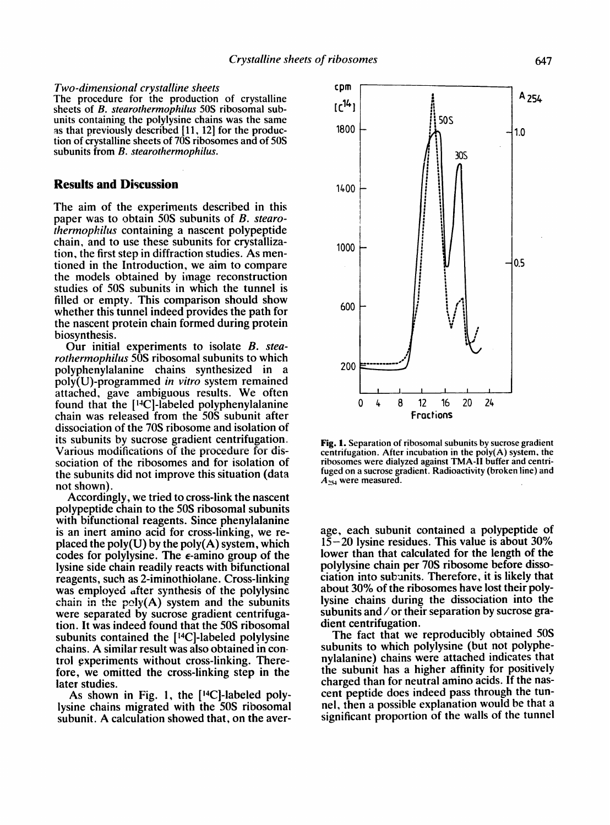#### *Two-dimensional crystalline sheets*

The procedure for the production of crystalline sheets of *B. stearothermophilus* 50S ribosomal subunits containing the polylysine chains was the same as that previously described [11, 12] for the production of crystalline sheets of 70S ribosomes and of 50S subunits from *B. stearothermophilus.* 

## **Results and Discussion**

The aim of the experiments described in this paper was to obtain 50S subunits of *B. stearothermophilus* containing a nascent polypeptide chain, and to use these subunits for crystallization, the first step in diffraction studies. As mentioned in the Introduction, we aim to compare the models obtained by image reconstruction studies of 50S subunits in which the tunnel is filled or empty. This comparison should show whether this tunnel indeed provides the path for the nascent protein chain formed during protein biosynthesis.

Our initial experiments to isolate *B. stearothermophilus* 50S ribosomal subunits to which polyphenylalanine chains synthesized in a poly(U)-programmed *in vitro* system remained attached, gave ambiguous results. We often found that the [14C]-labeled polyphenylalanine chain was released from the 50S subunit after dissociation of the 70S ribosome and isolation of its subunits by sucrose gradient centrifugation. Various modifications of the procedure for dissociation of the ribosomes and for isolation of the subunits did not improve this situation (data not shown).

Accordingly, we tried to cross-link the nascent polypeptide chain to the 50S ribosomal subunits with bifunctional reagents. Since phenylalanine is an inert amino acid for cross-linking, we **re**placed the poly $(U)$  by the poly $(A)$  system, which codes for polylysine. The  $\epsilon$ -amino group of the lysine side chain readily reacts with bifunctional reagents, such as 2-iminothiolane. Cross-linking was employed after synthesis of the polylysine chain in the  $poly(A)$  system and the subunits were separated by sucrose gradient centrifugation. It was indeed found that the 50S ribosomal subunits contained the  $[{}^{14}C]$ -labeled polylysine chains. A similar result was also obtained in control experiments without cross-linking. Therefore, we omitted the cross-linking step in the later studies.

As shown in Fig. 1, the  $[14C]$ -labeled polylysine chains migrated with the 50S ribosomal subunit. A calculation showed that, on the **aver-**



Fig. 1. Separation of ribosomal subunits by sucrose gradient centrifugation. After incubation in the poly(A) system, the ribosomes were dialyzed against TMA-II buffer and centrifuged on a sucrose gradient. Radioactivity (broken line) and  $A_{254}$  were measured.

age, each subunit contained a polypeptide of  $15-20$  lysine residues. This value is about 30% lower than that calculated for the length of the polylysine chain per 70S ribosome before dissociation into subunits. Therefore, it is likely that about 30% of the ribosomes have lost their polylysine chains during the dissociation into the subunits and / or their separation by sucrose gradient centrifugation.

The fact that we reproducibly obtained 50S subunits to which polylysine (but not polyphenylalanine) chains were attached indicates that the subunit has a higher affinity for positively charged than for neutral amino acids. If the nascent peptide does indeed pass through the tunnel, then a possible explanation would be that a significant proportion of the walls of the tunnel